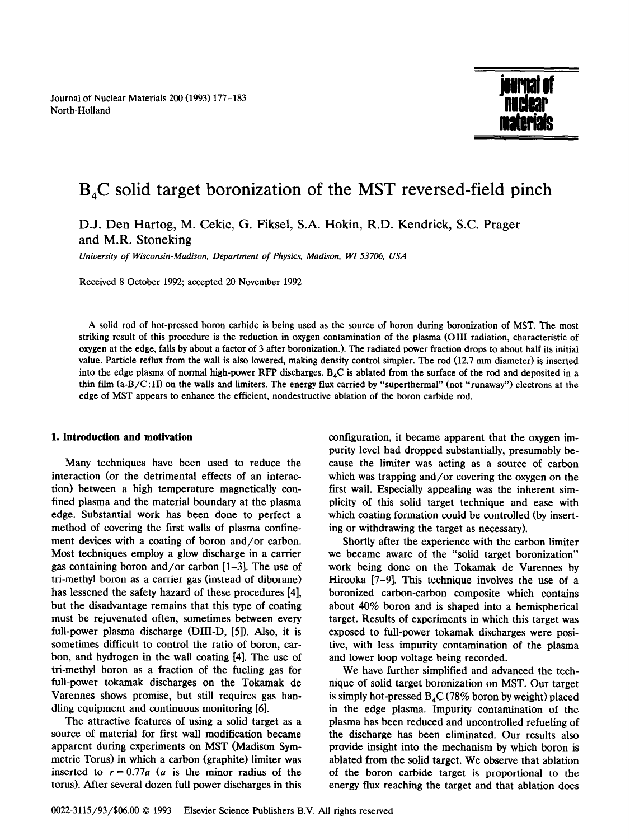Journal of Nuclear Materials 200 (1993) 177-183 North-Holland



# B,C solid target boronization of the MST reversed-field pinch

D.J. Den Hartog, M. Cekic, G. Fiksel, S.A. Hokin, R.D. Kendrick, S.C. Prager and M.R. Stoneking

*University of Wisconsin-Madison, Department of Physics, Madison, WI 53706, USA* 

Received 8 October 1992; accepted 20 November 1992

A solid rod of hot-pressed boron carbide is being used as the source of boron during boronization of MST. The most striking result of this procedure is the reduction in oxygen contamination of the plasma (0111 radiation, characteristic of oxygen at the edge, falls by about a factor of 3 after boronization.). The radiated power fraction drops to about half its initial value. Particle reflux from the wall is also lowered, making density control simpler. The rod (12.7 mm diameter) is inserted into the edge plasma of normal high-power RFP discharges.  $B_4C$  is ablated from the surface of the rod and deposited in a thin film (a-B/C: H) on the walls and limiters. The energy flux carried by "superthermal" (not "runaway") electrons at the edge of MST appears to enhance the efficient, nondestructive ablation of the boron carbide rod.

#### 1. **Introduction and motivation**

Many techniques have been used to reduce the interaction (or the detrimental effects of an interaction) between a high temperature magnetically confined plasma and the material boundary at the plasma edge. Substantial work has been done to perfect a method of covering the first walls of plasma confinement devices with a coating of boron and/or carbon. Most techniques employ a glow discharge in a carrier gas containing boron and/or carbon [l-3]. The use of tri-methyl boron as a carrier gas (instead of diborane) has lessened the safety hazard of these procedures [4], but the disadvantage remains that this type of coating must be rejuvenated often, sometimes between every full-power plasma discharge (DIII-D, [5]). Also, it is sometimes difficult to control the ratio of boron, carbon, and hydrogen in the wall coating [4]. The use of tri-methyl boron as a fraction of the fueling gas for full-power tokamak discharges on the Tokamak de Varennes shows promise, but still requires gas handling equipment and continuous monitoring [6].

The attractive features of using a solid target as a source of material for first wall modification became apparent during experiments on MST (Madison Symmetric Torus) in which a carbon (graphite) limiter was inserted to  $r = 0.77a$  (*a* is the minor radius of the torus). After several dozen full power discharges in this configuration, it became apparent that the oxygen impurity level had dropped substantially, presumably because the limiter was acting as a source of carbon which was trapping and/or covering the oxygen on the first wall. Especially appealing was the inherent simplicity of this solid target technique and ease with which coating formation could be controlled (by inserting or withdrawing the target as necessary).

Shortly after the experience with the carbon limiter we became aware of the "solid target boronization" work being done on the Tokamak de Varennes by Hirooka [7-9]. This technique involves the use of a boronized carbon-carbon composite which contains about 40% boron and is shaped into a hemispherical target. Results of experiments in which this target was exposed to full-power tokamak discharges were positive, with less impurity contamination of the plasma and lower loop voltage being recorded.

We have further simplified and advanced the technique of solid target boronization on MST. Our target is simply hot-pressed B,C (78% boron by weight) placed in the edge plasma. Impurity contamination of the plasma has been reduced and uncontrolled refueling of the discharge has been eliminated. Our results also provide insight into the mechanism by which boron is ablated from the solid target. We observe that ablation of the boron carbide target is proportional to the energy flux reaching the target and that ablation does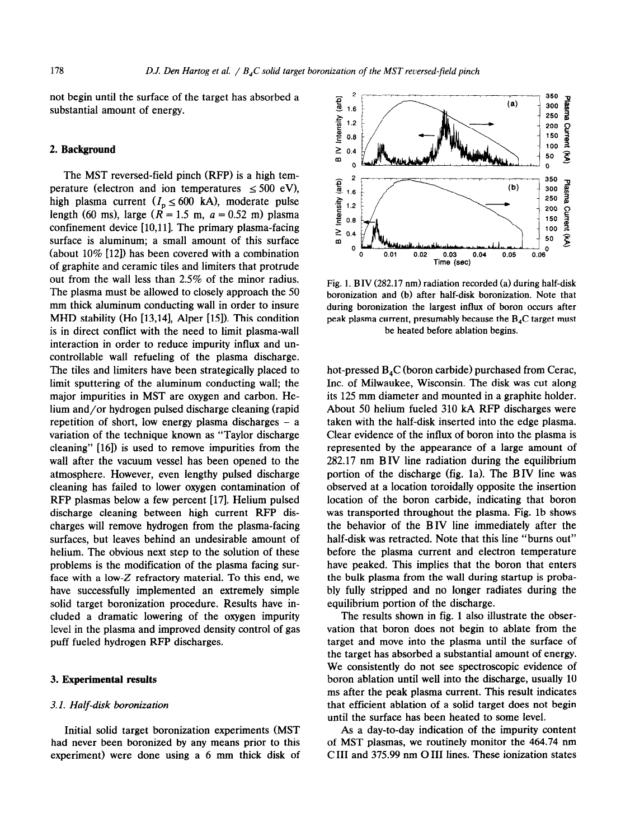not begin until the surface of the target has absorbed a substantial amount of energy.

## 2. **Background**

The MST reversed-field pinch (RFP) is a high temperature (electron and ion temperatures  $\leq 500$  eV), high plasma current  $(I_p \le 600 \text{ kA})$ , moderate pulse length (60 ms), large ( $\overline{R}$  = 1.5 m,  $a$  = 0.52 m) plasma confinement device  $[10,11]$ . The primary plasma-facing surface is aluminum; a small amount of this surface (about 10% [12]) has been covered with a combination of graphite and ceramic tiles and limiters that protrude out from the wall less than 2.5% of the minor radius. The plasma must be allowed to closely approach the 50 mm thick aluminum conducting wall in order to insure MHD stability (Ho [13,14], Alper [15]). This condition is in direct conflict with the need to limit plasma-wall interaction in order to reduce impurity influx and uncontrollable wall refueling of the plasma discharge. The tiles and limiters have been strategically placed to limit sputtering of the aluminum conducting wall; the major impurities in MST are oxygen and carbon. Helium and/or hydrogen pulsed discharge cleaning (rapid repetition of short, low energy plasma discharges - a variation of the technique known as "Taylor discharge cleaning" [16]) is used to remove impurities from the wall after the vacuum vessel has been opened to the atmosphere. However, even lengthy pulsed discharge cleaning has failed to lower oxygen contamination of RFP plasmas below a few percent [171. Helium pulsed discharge cleaning between high current RFP discharges will remove hydrogen from the plasma-facing surfaces, but leaves behind an undesirable amount of helium. The obvious next step to the solution of these problems is the modification of the plasma facing surface with a low-2 refractory material. To this end, we have successfully implemented an extremely simple solid target boronization procedure. Results have included a dramatic lowering of the oxygen impurity level in the plasma and improved density control of gas puff fueled hydrogen RFP discharges.

## 3. **Experimental results**

#### **3.1.** *Half-disk boronization*



Fig. 1. BIV (282.17 nm) radiation recorded (a) during half-disk boronization and (b) after half-disk boronization. Note that during boronization the largest influx of boron occurs after peak plasma current, presumably because the  $B_4C$  target must be heated before ablation begins.

hot-pressed  $B<sub>A</sub>C$  (boron carbide) purchased from Cerac, Inc. of Milwaukee, Wisconsin. The disk was cut along its 125 mm diameter and mounted in a graphite holder. About 50 helium fueled 310 kA RFP discharges were taken with the half-disk inserted into the edge plasma. Clear evidence of the influx of boron into the plasma is represented by the appearance of a large amount of 282.17 nm BIV line radiation during the equilibrium portion of the discharge (fig. la). The BIV line was observed at a location toroidally opposite the insertion location of the boron carbide, indicating that boron was transported throughout the plasma. Fig. lb shows the behavior of the BIV line immediately after the half-disk was retracted. Note that this line "burns out" before the plasma current and electron temperature have peaked. This implies that the boron that enters the bulk plasma from the wall during startup is probably fully stripped and no longer radiates during the equilibrium portion of the discharge.

The results shown in fig. 1 also illustrate the observation that boron does not begin to ablate from the target and move into the plasma until the surface of the target has absorbed a substantial amount of energy. We consistently do not see spectroscopic evidence of boron ablation until well into the discharge, usually 10 ms after the peak plasma current. This result indicates that efficient ablation of a solid target does not begin until the surface has been heated to some level.

Initial solid target boronization experiments (MST As a day-to-day indication of the impurity content had never been boronized by any means prior to this of MST plasmas, we routinely monitor the 464.74 nm experiment) were done using a 6 mm thick disk of C III and 375.99 nm 0 III lines. These ionization states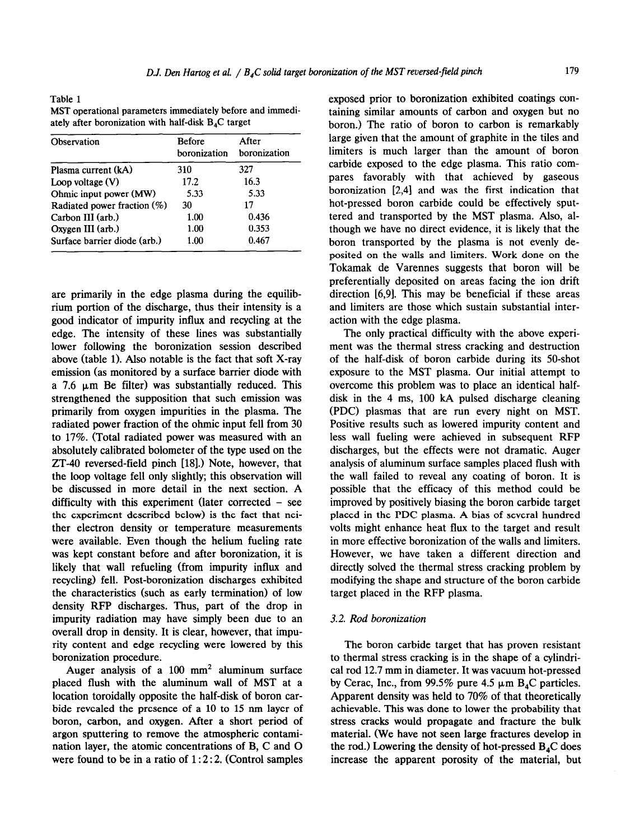Table 1 MST operational parameters immediately before and immediately after boronization with half-disk  $B_4C$  target

| Observation                  | Before<br>boronization | After<br>boronization |
|------------------------------|------------------------|-----------------------|
| Plasma current (kA)          | 310                    | 327                   |
| Loop voltage $(V)$           | 17.2                   | 16.3                  |
| Ohmic input power (MW)       | 5.33                   | 5.33                  |
| Radiated power fraction (%)  | 30                     | 17                    |
| Carbon III (arb.)            | 1.00                   | 0.436                 |
| Oxygen III (arb.)            | 1.00                   | 0.353                 |
| Surface barrier diode (arb.) | 1.00                   | 0.467                 |

are primarily in the edge plasma during the equilibrium portion of the discharge, thus their intensity is a good indicator of impurity influx and recycling at the edge. The intensity of these lines was substantially lower following the boronization session described above (table 1). Also notable is the fact that soft X-ray emission (as monitored by a surface barrier diode with a 7.6  $\mu$ m Be filter) was substantially reduced. This strengthened the supposition that such emission was primarily from oxygen impurities in the plasma. The radiated power fraction of the ohmic input fell from 30 to 17%. (Total radiated power was measured with an absolutely calibrated bolometer of the type used on the ZT-40 reversed-field pinch 1181.) Note, however, that the loop voltage fell only slightly; this observation will be discussed in more detail in the next section. A difficulty with this experiment (later corrected  $-$  see the experiment described below) is the fact that neither electron density or temperature measurements were available. Even though the helium fueling rate was kept constant before and after boronization, it is likely that wall refueling (from impurity influx and recycling) fell. Post-boronization discharges exhibited the characteristics (such as early termination) of low density RFP discharges. Thus, part of the drop in impurity radiation may have simply been due to an overall drop in density. It is clear, however, that impurity content and edge recycling were lowered by this boronization procedure.

Auger analysis of a  $100 \text{ mm}^2$  aluminum surface placed flush with the aluminum wall of MST at a location toroidally opposite the half-disk of boron carbide revealed the presence of a 10 to 15 nm layer of boron, carbon, and oxygen. After a short period of argon sputtering to remove the atmospheric contamination layer, the atomic concentrations of B, C and 0 were found to be in a ratio of  $1:2:2$ . (Control samples exposed prior to boronization exhibited coatings containing similar amounts of carbon and oxygen but no boron.) The ratio of boron to carbon is remarkably large given that the amount of graphite in the tiles and limiters is much larger than the amount of boron carbide exposed to the edge plasma. This ratio compares favorably with that achieved by gaseous boronization [2,4] and was the first indication that hot-pressed boron carbide could be effectively sputtered and transported by the MST plasma. Also, although we have no direct evidence, it is likely that the boron transported by the plasma is not evenly deposited on the walls and limiters. Work done on the Tokamak de Varennes suggests that boron will be preferentially deposited on areas facing the ion drift direction [6,9]. This may be beneficial if these areas and limiters are those which sustain substantial interaction with the edge plasma.

The only practical difficulty with the above experiment was the thermal stress cracking and destruction of the half-disk of boron carbide during its SO-shot exposure to the MST plasma. Our initial attempt to overcome this problem was to place an identical halfdisk in the 4 ms, 100 kA pulsed discharge cleaning (PDC) plasmas that are run every night on MST. Positive results such as lowered impurity content and less wall fueling were achieved in subsequent RFP discharges, but the effects were not dramatic. Auger analysis of aluminum surface samples placed flush with the wall failed to reveal any coating of boron. It is possible that the efficacy of this method could be improved by positively biasing the boron carbide target placed in the PDC plasma. A bias of several hundred volts might enhance heat flux to the target and result in more effective boronization of the walls and limiters. However, we have taken a different direction and directly solved the thermal stress cracking problem by modifying the shape and structure of the boron carbide target placed in the RFP plasma.

## 3.2. *Rod boronization*

The boron carbide target that has proven resistant to thermal stress cracking is in the shape of a cylindrical rod 12.7 mm in diameter. It was vacuum hot-pressed by Cerac, Inc., from 99.5% pure 4.5  $\mu$ m B<sub>4</sub>C particles. Apparent density was held to 70% of that theoretically achievable. This was done to lower the probability that stress cracks would propagate and fracture the bulk material. (We have not seen large fractures develop in the rod.) Lowering the density of hot-pressed  $B_4C$  does increase the apparent porosity of the material, but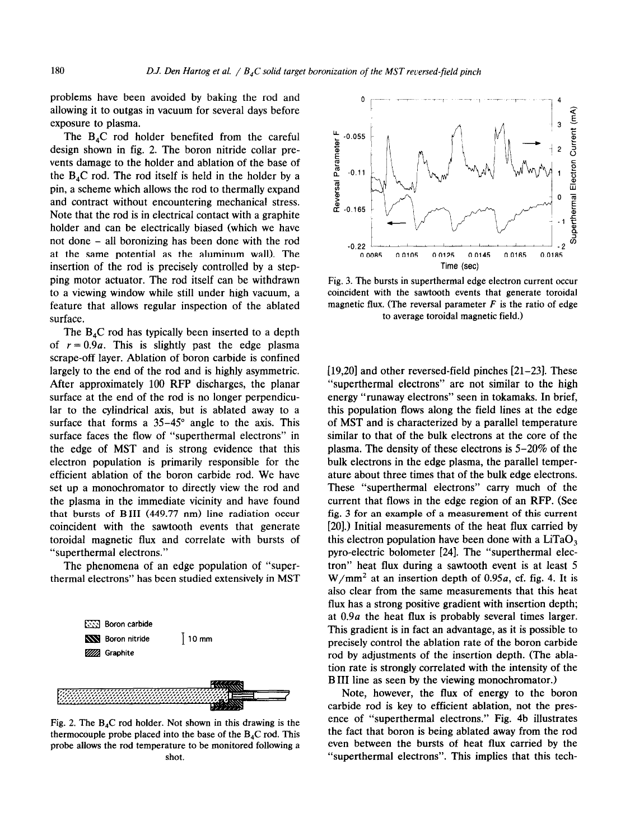problems have been avoided by baking the rod and allowing it to outgas in vacuum for several days before exposure to plasma.

The  $B_4C$  rod holder benefited from the careful design shown in fig. 2. The boron nitride collar prevents damage to the holder and ablation of the base of the  $B_4C$  rod. The rod itself is held in the holder by a pin, a scheme which allows the rod to thermally expand and contract without encountering mechanical stress. Note that the rod is in electrical contact with a graphite holder and can be electrically biased (which we have not done - all boronizing has been done with the rod at the same potential as the aluminum wall). The insertion of the rod is precisely controlled by a stepping motor actuator. The rod itself can be withdrawn to a viewing window while still under high vacuum, a feature that allows regular inspection of the ablated surface.

The  $B_4C$  rod has typically been inserted to a depth of  $r = 0.9a$ . This is slightly past the edge plasma scrape-off layer. Ablation of boron carbide is confined largely to the end of the rod and is highly asymmetric. After approximately 100 RFP discharges, the planar surface at the end of the rod is no longer perpendicular to the cylindrical axis, but is ablated away to a surface that forms a  $35-45^{\circ}$  angle to the axis. This surface faces the flow of "superthermal electrons" in the edge of MST and is strong evidence that this electron population is primarily responsible for the efficient ablation of the boron carbide rod. We have set up a monochromator to directly view the rod and the plasma in the immediate vicinity and have found that bursts of BIII (449.77 nm) line radiation occur coincident with the sawtooth events that generate toroidal magnetic flux and correlate with bursts of "superthermal electrons."

The phenomena of an edge population of "superthermal electrons" has been studied extensively in MST



Fig. 2. The  $B_4C$  rod holder. Not shown in this drawing is the thermocouple probe placed into the base of the  $B_4C$  rod. This probe allows the rod temperature to be monitored following a shot.



Fig. 3. The bursts in superthermal edge electron current occur coincident with the sawtooth events that generate toroidal magnetic flux. (The reversal parameter  $F$  is the ratio of edge to average toroidal magnetic field.)

 $[19,20]$  and other reversed-field pinches  $[21-23]$ . These "superthermal electrons" are not similar to the high energy "runaway electrons" seen in tokamaks. In brief, this population flows along the field lines at the edge of MST and is characterized by a parallel temperature similar to that of the bulk electrons at the core of the plasma. The density of these electrons is  $5-20\%$  of the bulk electrons in the edge plasma, the parallel temperature about three times that of the bulk edge electrons. These "superthermal electrons" carry much of the current that flows in the edge region of an RFP. (See fig. 3 for an example of a measurement of this current [20].) Initial measurements of the heat flux carried by this electron population have been done with a LiTaO, pyro-electric bolometer [24]. The "superthermal electron" heat flux during a sawtooth event is at least 5  $W/mm^2$  at an insertion depth of 0.95a, cf. fig. 4. It is also clear from the same measurements that this heat flux has a strong positive gradient with insertion depth; at  $0.9a$  the heat flux is probably several times larger. This gradient is in fact an advantage, as it is possible to precisely control the ablation rate of the boron carbide rod by adjustments of the insertion depth. (The ablation rate is strongly correlated with the intensity of the B III line as seen by the viewing monochromator.)

Note, however, the flux of energy to the boron carbide rod is key to efficient ablation, not the presence of "superthermal electrons." Fig. 4b illustrates the fact that boron is being ablated away from the rod even between the bursts of heat flux carried by the "superthermal electrons". This implies that this tech-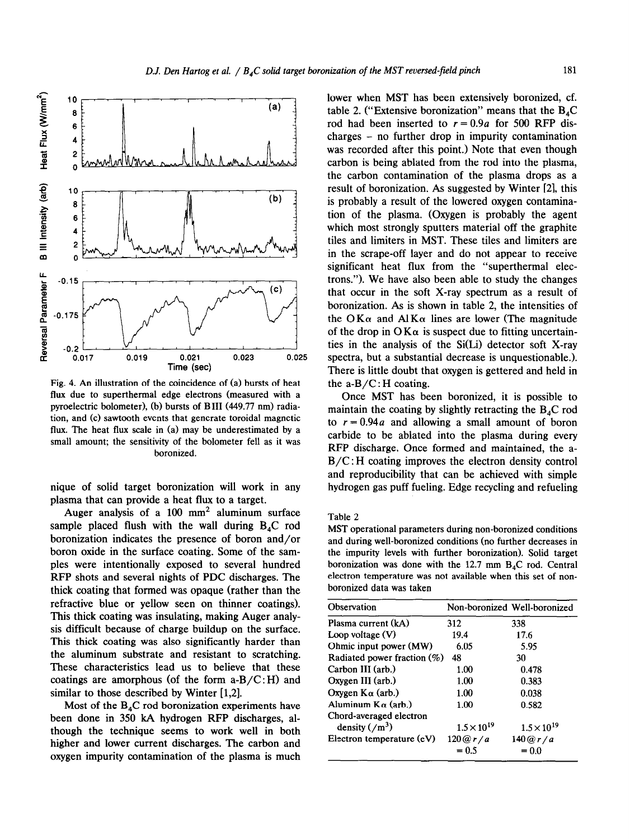

Fig. 4. An illustration of the coincidence of (a) bursts of heat flux due to superthermal edge electrons (measured with a pyroelectric bolometer), (b) bursts of BIII (449.77 nm) radiation, and (c) sawtooth events that generate toroidal magnetic flw. The heat flux scale in (a) may be underestimated by a small amount; the sensitivity of the bolometer fell as it was boronized.

nique of solid target boronization will work in any plasma that can provide a heat flux to a target.

Auger analysis of a  $100 \text{ mm}^2$  aluminum surface sample placed flush with the wall during  $B<sub>4</sub>C$  rod boronization indicates the presence of boron and/or boron oxide in the surface coating. Some of the samples were intentionally exposed to several hundred RFP shots and several nights of PDC discharges. The thick coating that formed was opaque (rather than the refractive blue or yellow seen on thinner coatings). This thick coating was insulating, making Auger analysis difficult because of charge buildup on the surface. This thick coating was also significantly harder than the aluminum substrate and resistant to scratching. These characteristics lead us to believe that these coatings are amorphous (of the form  $a-B/C$ : H) and similar to those described by Winter [1,2].

Most of the  $B_4C$  rod boronization experiments have been done in 350 kA hydrogen RFP discharges, although the technique seems to work well in both higher and lower current discharges. The carbon and oxygen impurity contamination of the plasma is much lower when MST has been extensively boronized, cf. table 2. ("Extensive boronization" means that the  $B_4C$ rod had been inserted to  $r = 0.9a$  for 500 RFP discharges - no further drop in impurity contamination was recorded after this point.) Note that even though carbon is being ablated from the rod into the plasma, the carbon contamination of the plasma drops as a result of boronization. As suggested by Winter [2], this is probably a result of the lowered oxygen contamination of the plasma. (Oxygen is probably the agent which most strongly sputters material off the graphite tiles and limiters in MST. These tiles and limiters are in the scrape-off layer and do not appear to receive significant heat flux from the "superthermal electrons."). We have also been able to study the changes that occur in the soft X-ray spectrum as a result of boronization. As is shown in table 2, the intensities of the OK $\alpha$  and AlK $\alpha$  lines are lower (The magnitude of the drop in  $\alpha$  is suspect due to fitting uncertainties in the analysis of the Si(Li) detector soft X-ray spectra, but a substantial decrease is unquestionable.). There is little doubt that oxygen is gettered and held in the  $a-B/C$ : H coating.

Once MST has been boronized, it is possible to maintain the coating by slightly retracting the  $B_4C$  rod to  $r = 0.94a$  and allowing a small amount of boron carbide to be ablated into the plasma during every RFP discharge. Once formed and maintained, the a-B/C:H coating improves the electron density control and reproducibility that can be achieved with simple hydrogen gas puff fueling. Edge recycling and refueling

Table 2

MST operational parameters during non-boronized conditions and during well-boronized conditions (no further decreases in the impurity levels with further boronization). Solid target boronization was done with the 12.7 mm  $B_4C$  rod. Central electron temperature was not available when this set of nonboronized data was taken

| Observation                            |                      | Non-boronized Well-boronized |
|----------------------------------------|----------------------|------------------------------|
| Plasma current (kA)                    | 312                  | 338                          |
| Loop voltage $(V)$                     | 19.4                 | 17.6                         |
| Ohmic input power (MW)                 | 6.05                 | 5.95                         |
| Radiated power fraction $(\%)$         | 48                   | 30                           |
| Carbon III (arb.)                      | 1.00                 | 0.478                        |
| Oxygen III (arb.)                      | 1.00                 | 0.383                        |
| Oxygen $K\alpha$ (arb.)                | 1.00                 | 0.038                        |
| Aluminum $K\alpha$ (arb.)              | 1.00                 | 0.582                        |
| Chord-averaged electron                |                      |                              |
| density $\left(\frac{m^3}{m^2}\right)$ | $1.5 \times 10^{19}$ | $1.5 \times 10^{19}$         |
| Electron temperature (eV)              | 120@r/a              | 140@r/a                      |
|                                        | $= 0.5$              | $= 0.0$                      |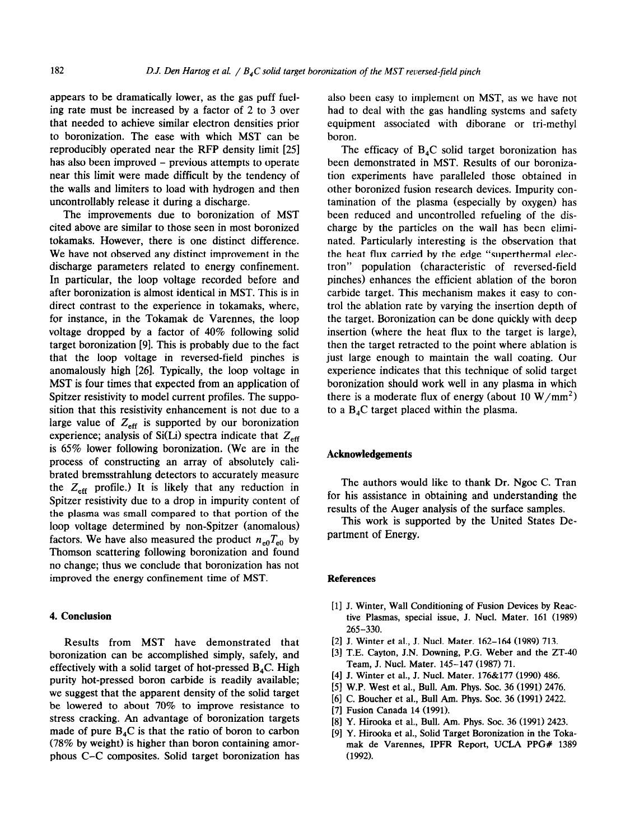appears to be dramatically lower, as the gas puff fueling rate must be increased by a factor of 2 to 3 over that needed to achieve similar electron densities prior to boronization. The ease with which MST can be reproducibly operated near the RFP density limit [25] has also been improved – previous attempts to operate near this limit were made difficult by the tendency of the walls and limiters to load with hydrogen and then uncontrollably release it during a discharge.

The improvements due to boronization of MST cited above are similar to those seen in most boronized tokamaks. However, there is one distinct difference. We have not observed any distinct improvement in the discharge parameters related to energy confinement. In particular, the loop voltage recorded before and after boronization is almost identical in MST. This is in direct contrast to the experience in tokamaks, where, for instance, in the Tokamak de Varennes, the loop voltage dropped by a factor of 40% following solid target boronization [9]. This is probably due to the fact that the loop voltage in reversed-field pinches is anomalously high [26]. Typically, the loop voltage in MST is four times that expected from an application of Spitzer resistivity to model current profiles. The supposition that this resistivity enhancement is not due to a large value of  $Z_{\text{eff}}$  is supported by our boronization experience; analysis of Si(Li) spectra indicate that  $Z_{\text{eff}}$ is 65% lower following boronization. (We are in the process of constructing an array of absolutely calibrated bremsstrahlung detectors to accurately measure the  $Z_{\text{eff}}$  profile.) It is likely that any reduction in Spitzer resistivity due to a drop in impurity content of the plasma was small compared to that portion of the loop voltage determined by non-Spitzer (anomalous) factors. We have also measured the product  $n_{e0}T_{e0}$  by Thomson scattering following boronization and found no change; thus we conclude that boronization has not improved the energy confinement time of MST.

## 4. **Conclusion**

Results from MST have demonstrated that boronization can be accomplished simply, safely, and effectively with a solid target of hot-pressed  $B_4C$ . High purity hot-pressed boron carbide is readily available; we suggest that the apparent density of the solid target be lowered to about 70% to improve resistance to stress cracking. An advantage of boronization targets made of pure  $B_4C$  is that the ratio of boron to carbon (78% by weight) is higher than boron containing amorphous C-C composites. Solid target boronization has

also been easy to implement on MST, as we have not had to deal with the gas handling systems and safety equipment associated with diborane or tri-methyl boron.

The efficacy of  $B_4C$  solid target boronization has been demonstrated in MST. Results of our boronization experiments have paralleled those obtained in other boronized fusion research devices. Impurity contamination of the plasma (especially by oxygen) has been reduced and uncontrolled refueling of the discharge by the particles on the wall has been eliminated. Particularly interesting is the observation that the heat flux carried by the edge "superthermal electron" population (characteristic of reversed-field pinches) enhances the efficient ablation of the boron carbide target. This mechanism makes it easy to control the ablation rate by varying the insertion depth of the target. Boronization can be done quickly with deep insertion (where the heat flux to the target is large), then the target retracted to the point where ablation is just large enough to maintain the wall coating. Our experience indicates that this technique of solid target boronization should work well in any plasma in which there is a moderate flux of energy (about 10  $W/mm^2$ ) to a  $B_4C$  target placed within the plasma.

## **Acknowledgements**

The authors would like to thank Dr. Ngoc C. Tran for his assistance in obtaining and understanding the results of the Auger analysis of the surface samples.

This work is supported by the United States Department of Energy.

#### **References**

- [1] J. Winter, Wall Conditioning of Fusion Devices by Reactive Plasmas, special issue, J. Nucl. Mater. 161 (1989) 265-330.
- [2] J. Winter et al., J. Nucl. Mater. 162-164 (1989) 713.
- [3] T.E. Cayton, J.N. Downing, P.G. Weber and the ZT-40 Team, J. Nucl. Mater. 145-147 (1987) 71.
- [4] J. Winter et al., J. Nucl. Mater. 176&177 (1990) 486.
- [5] W.P. West et al., Bull. Am. Phys. Soc. 36 (1991) 2476.
- [6] C. Boucher et al., Bull Am. Phys. Soc. 36 (1991) 2422.
- [7] Fusion Canada 14 (1991).
- [8] Y. Hirooka et al., Bull. Am. Phys. Soc. 36 (1991) 2423.
- [9] Y. Hirooka et al., Solid Target Boronization in the Tokamak de Varennes, IPFR Report, UCLA PPG# 1389 (1992).